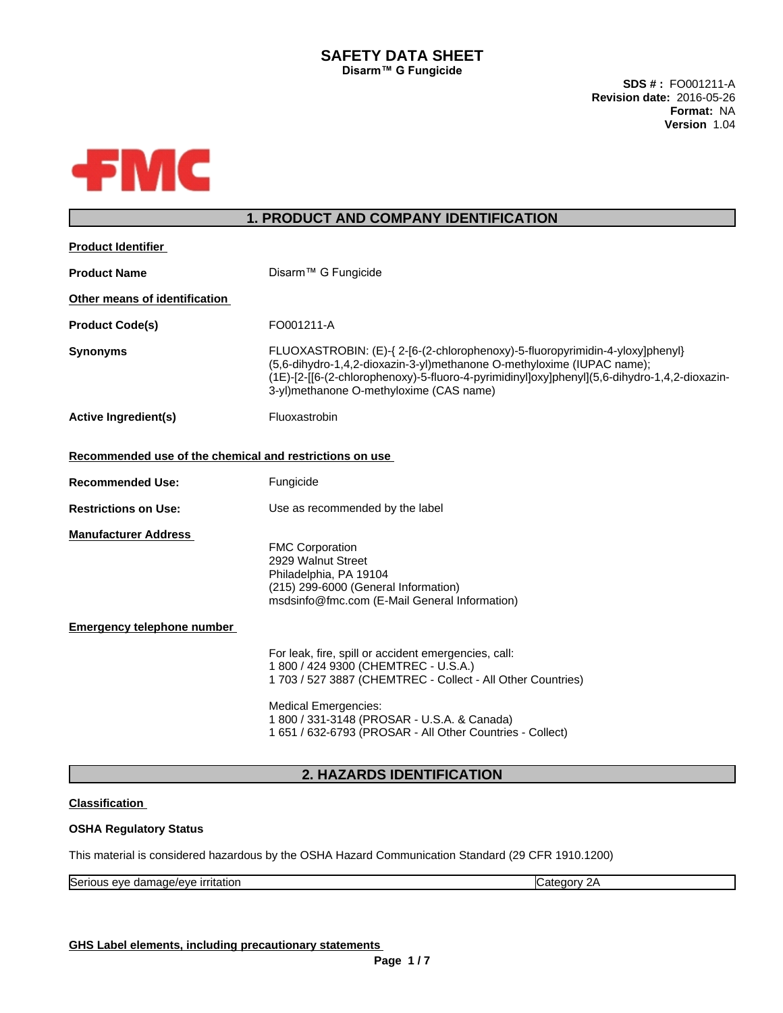## **SAFETY DATA SHEET Disarm™ G** Fungicide

**SDS # :** FO001211-A **Revision date:** 2016-05-26 **Format:** NA **Version** 1.04



# **1. PRODUCT AND COMPANY IDENTIFICATION**

| <b>Product Identifier</b>                               |                                                                                                                                                                                                                                                                                                    |
|---------------------------------------------------------|----------------------------------------------------------------------------------------------------------------------------------------------------------------------------------------------------------------------------------------------------------------------------------------------------|
| <b>Product Name</b>                                     | Disarm™ G Fungicide                                                                                                                                                                                                                                                                                |
| Other means of identification                           |                                                                                                                                                                                                                                                                                                    |
| <b>Product Code(s)</b>                                  | FO001211-A                                                                                                                                                                                                                                                                                         |
| <b>Synonyms</b>                                         | FLUOXASTROBIN: (E)-{ 2-[6-(2-chlorophenoxy)-5-fluoropyrimidin-4-yloxy]phenyl}<br>(5,6-dihydro-1,4,2-dioxazin-3-yl)methanone O-methyloxime (IUPAC name);<br>(1E)-[2-[[6-(2-chlorophenoxy)-5-fluoro-4-pyrimidinyl]oxy]phenyl](5,6-dihydro-1,4,2-dioxazin-<br>3-yl)methanone O-methyloxime (CAS name) |
| <b>Active Ingredient(s)</b>                             | Fluoxastrobin                                                                                                                                                                                                                                                                                      |
| Recommended use of the chemical and restrictions on use |                                                                                                                                                                                                                                                                                                    |
| <b>Recommended Use:</b>                                 | Fungicide                                                                                                                                                                                                                                                                                          |
| <b>Restrictions on Use:</b>                             | Use as recommended by the label                                                                                                                                                                                                                                                                    |
| <b>Manufacturer Address</b>                             | <b>FMC Corporation</b><br>2929 Walnut Street<br>Philadelphia, PA 19104<br>(215) 299-6000 (General Information)<br>msdsinfo@fmc.com (E-Mail General Information)                                                                                                                                    |
| <b>Emergency telephone number</b>                       |                                                                                                                                                                                                                                                                                                    |
|                                                         | For leak, fire, spill or accident emergencies, call:<br>1 800 / 424 9300 (CHEMTREC - U.S.A.)<br>1703 / 527 3887 (CHEMTREC - Collect - All Other Countries)                                                                                                                                         |
|                                                         | <b>Medical Emergencies:</b><br>1 800 / 331-3148 (PROSAR - U.S.A. & Canada)<br>1 651 / 632-6793 (PROSAR - All Other Countries - Collect)                                                                                                                                                            |

# **2. HAZARDS IDENTIFICATION**

## **Classification**

## **OSHA Regulatory Status**

This material is considered hazardous by the OSHA Hazard Communication Standard (29 CFR 1910.1200)

| $\sim$<br>.<br>$\sim$ $\sim$<br>∼<br>יי י<br>7F.<br>ונכונוטו |
|--------------------------------------------------------------|
|--------------------------------------------------------------|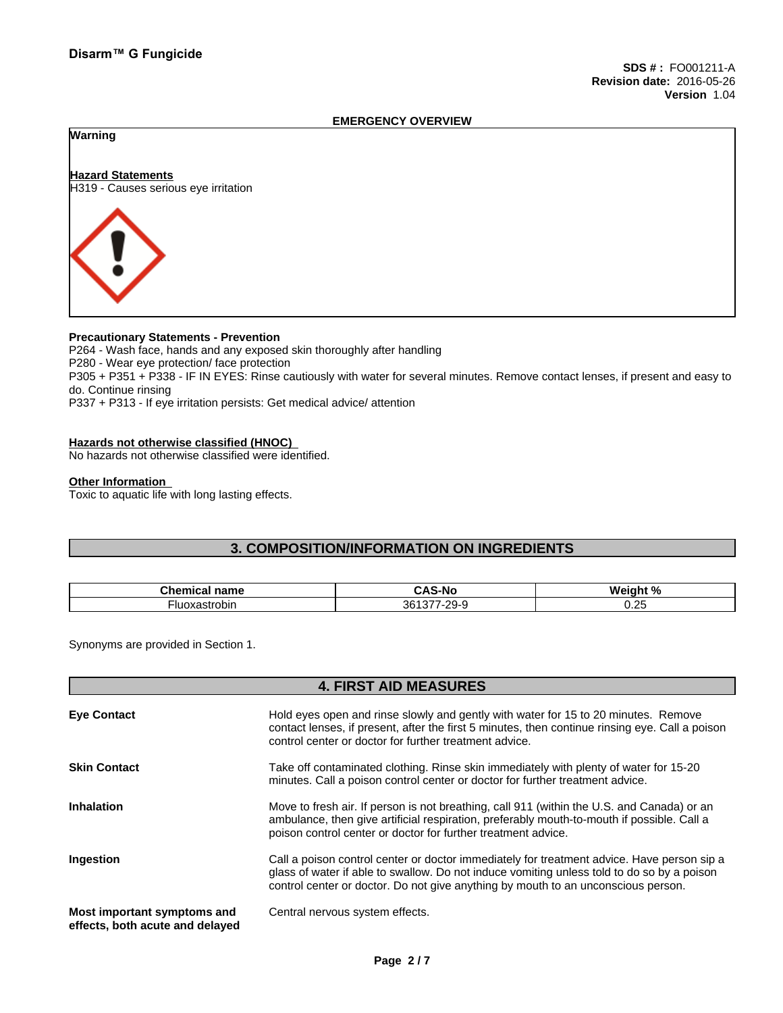#### **EMERGENCY OVERVIEW**

## **Warning**

# **Hazard Statements** H319 - Causes serious eye irritation



## **Precautionary Statements - Prevention**

P264 - Wash face, hands and any exposed skin thoroughly after handling P280 - Wear eye protection/ face protection P305 + P351 + P338 - IF IN EYES: Rinse cautiously with water forseveral minutes. Remove contact lenses, if present and easy to do. Continue rinsing P337 + P313 - If eye irritation persists: Get medical advice/ attention

#### **Hazards not otherwise classified (HNOC)**

No hazards not otherwise classified were identified.

#### **Other Information**

Toxic to aquatic life with long lasting effects.

## **3. COMPOSITION/INFORMATION ON INGREDIENTS**

| $\sim$ $\sim$ $\sim$ $\sim$<br>name<br>micai:<br>-- | -                                     | $M$ ainht % |
|-----------------------------------------------------|---------------------------------------|-------------|
| oxastrobin                                          | $\sim$<br>$\sim$<br>-26<br>ູນບ<br>- 1 | . .<br>◡.←  |

Synonyms are provided in Section 1.

## **4. FIRST AID MEASURES**

| <b>Eye Contact</b>                                             | Hold eyes open and rinse slowly and gently with water for 15 to 20 minutes. Remove<br>contact lenses, if present, after the first 5 minutes, then continue rinsing eye. Call a poison<br>control center or doctor for further treatment advice.                               |
|----------------------------------------------------------------|-------------------------------------------------------------------------------------------------------------------------------------------------------------------------------------------------------------------------------------------------------------------------------|
| <b>Skin Contact</b>                                            | Take off contaminated clothing. Rinse skin immediately with plenty of water for 15-20<br>minutes. Call a poison control center or doctor for further treatment advice.                                                                                                        |
| <b>Inhalation</b>                                              | Move to fresh air. If person is not breathing, call 911 (within the U.S. and Canada) or an<br>ambulance, then give artificial respiration, preferably mouth-to-mouth if possible. Call a<br>poison control center or doctor for further treatment advice.                     |
| <b>Ingestion</b>                                               | Call a poison control center or doctor immediately for treatment advice. Have person sip a<br>glass of water if able to swallow. Do not induce vomiting unless told to do so by a poison<br>control center or doctor. Do not give anything by mouth to an unconscious person. |
| Most important symptoms and<br>effects, both acute and delayed | Central nervous system effects.                                                                                                                                                                                                                                               |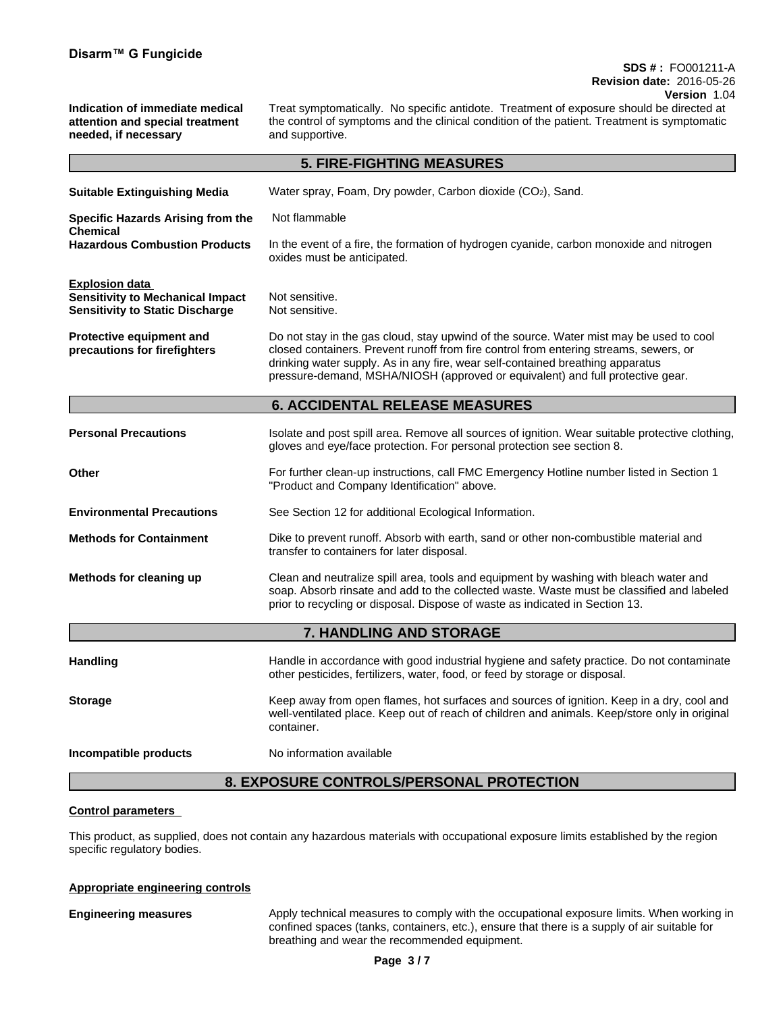## **SDS # :** FO001211-A **Revision date:** 2016-05-26 **Version** 1.04

**Indication of immediate medical attention and special treatment needed, if necessary**

Treat symptomatically. No specific antidote. Treatment of exposure should be directed at the control of symptoms and the clinical condition of the patient. Treatment is symptomatic and supportive.

| Water spray, Foam, Dry powder, Carbon dioxide (CO2), Sand.<br>Not flammable<br><b>Chemical</b><br>In the event of a fire, the formation of hydrogen cyanide, carbon monoxide and nitrogen<br>oxides must be anticipated.<br>Not sensitive.<br>Not sensitive.<br>Do not stay in the gas cloud, stay upwind of the source. Water mist may be used to cool<br>closed containers. Prevent runoff from fire control from entering streams, sewers, or<br>drinking water supply. As in any fire, wear self-contained breathing apparatus<br>pressure-demand, MSHA/NIOSH (approved or equivalent) and full protective gear.<br><b>6. ACCIDENTAL RELEASE MEASURES</b><br>gloves and eye/face protection. For personal protection see section 8.<br>For further clean-up instructions, call FMC Emergency Hotline number listed in Section 1<br>"Product and Company Identification" above.<br>See Section 12 for additional Ecological Information.<br>Dike to prevent runoff. Absorb with earth, sand or other non-combustible material and<br>transfer to containers for later disposal.<br>Clean and neutralize spill area, tools and equipment by washing with bleach water and<br>soap. Absorb rinsate and add to the collected waste. Waste must be classified and labeled<br>prior to recycling or disposal. Dispose of waste as indicated in Section 13.<br>7. HANDLING AND STORAGE<br>Handle in accordance with good industrial hygiene and safety practice. Do not contaminate<br>other pesticides, fertilizers, water, food, or feed by storage or disposal.<br>Keep away from open flames, hot surfaces and sources of ignition. Keep in a dry, cool and<br>well-ventilated place. Keep out of reach of children and animals. Keep/store only in original<br>container.<br>No information available |                                                                                                            | <b>5. FIRE-FIGHTING MEASURES</b>                                                                |
|---------------------------------------------------------------------------------------------------------------------------------------------------------------------------------------------------------------------------------------------------------------------------------------------------------------------------------------------------------------------------------------------------------------------------------------------------------------------------------------------------------------------------------------------------------------------------------------------------------------------------------------------------------------------------------------------------------------------------------------------------------------------------------------------------------------------------------------------------------------------------------------------------------------------------------------------------------------------------------------------------------------------------------------------------------------------------------------------------------------------------------------------------------------------------------------------------------------------------------------------------------------------------------------------------------------------------------------------------------------------------------------------------------------------------------------------------------------------------------------------------------------------------------------------------------------------------------------------------------------------------------------------------------------------------------------------------------------------------------------------------------------------------------------------------------|------------------------------------------------------------------------------------------------------------|-------------------------------------------------------------------------------------------------|
|                                                                                                                                                                                                                                                                                                                                                                                                                                                                                                                                                                                                                                                                                                                                                                                                                                                                                                                                                                                                                                                                                                                                                                                                                                                                                                                                                                                                                                                                                                                                                                                                                                                                                                                                                                                                         | <b>Suitable Extinguishing Media</b>                                                                        |                                                                                                 |
|                                                                                                                                                                                                                                                                                                                                                                                                                                                                                                                                                                                                                                                                                                                                                                                                                                                                                                                                                                                                                                                                                                                                                                                                                                                                                                                                                                                                                                                                                                                                                                                                                                                                                                                                                                                                         | Specific Hazards Arising from the                                                                          |                                                                                                 |
|                                                                                                                                                                                                                                                                                                                                                                                                                                                                                                                                                                                                                                                                                                                                                                                                                                                                                                                                                                                                                                                                                                                                                                                                                                                                                                                                                                                                                                                                                                                                                                                                                                                                                                                                                                                                         | <b>Hazardous Combustion Products</b>                                                                       |                                                                                                 |
|                                                                                                                                                                                                                                                                                                                                                                                                                                                                                                                                                                                                                                                                                                                                                                                                                                                                                                                                                                                                                                                                                                                                                                                                                                                                                                                                                                                                                                                                                                                                                                                                                                                                                                                                                                                                         | <b>Explosion data</b><br><b>Sensitivity to Mechanical Impact</b><br><b>Sensitivity to Static Discharge</b> |                                                                                                 |
|                                                                                                                                                                                                                                                                                                                                                                                                                                                                                                                                                                                                                                                                                                                                                                                                                                                                                                                                                                                                                                                                                                                                                                                                                                                                                                                                                                                                                                                                                                                                                                                                                                                                                                                                                                                                         | Protective equipment and<br>precautions for firefighters                                                   |                                                                                                 |
|                                                                                                                                                                                                                                                                                                                                                                                                                                                                                                                                                                                                                                                                                                                                                                                                                                                                                                                                                                                                                                                                                                                                                                                                                                                                                                                                                                                                                                                                                                                                                                                                                                                                                                                                                                                                         |                                                                                                            |                                                                                                 |
|                                                                                                                                                                                                                                                                                                                                                                                                                                                                                                                                                                                                                                                                                                                                                                                                                                                                                                                                                                                                                                                                                                                                                                                                                                                                                                                                                                                                                                                                                                                                                                                                                                                                                                                                                                                                         | <b>Personal Precautions</b>                                                                                | Isolate and post spill area. Remove all sources of ignition. Wear suitable protective clothing, |
|                                                                                                                                                                                                                                                                                                                                                                                                                                                                                                                                                                                                                                                                                                                                                                                                                                                                                                                                                                                                                                                                                                                                                                                                                                                                                                                                                                                                                                                                                                                                                                                                                                                                                                                                                                                                         | Other                                                                                                      |                                                                                                 |
|                                                                                                                                                                                                                                                                                                                                                                                                                                                                                                                                                                                                                                                                                                                                                                                                                                                                                                                                                                                                                                                                                                                                                                                                                                                                                                                                                                                                                                                                                                                                                                                                                                                                                                                                                                                                         | <b>Environmental Precautions</b>                                                                           |                                                                                                 |
|                                                                                                                                                                                                                                                                                                                                                                                                                                                                                                                                                                                                                                                                                                                                                                                                                                                                                                                                                                                                                                                                                                                                                                                                                                                                                                                                                                                                                                                                                                                                                                                                                                                                                                                                                                                                         | <b>Methods for Containment</b>                                                                             |                                                                                                 |
|                                                                                                                                                                                                                                                                                                                                                                                                                                                                                                                                                                                                                                                                                                                                                                                                                                                                                                                                                                                                                                                                                                                                                                                                                                                                                                                                                                                                                                                                                                                                                                                                                                                                                                                                                                                                         | Methods for cleaning up                                                                                    |                                                                                                 |
|                                                                                                                                                                                                                                                                                                                                                                                                                                                                                                                                                                                                                                                                                                                                                                                                                                                                                                                                                                                                                                                                                                                                                                                                                                                                                                                                                                                                                                                                                                                                                                                                                                                                                                                                                                                                         |                                                                                                            |                                                                                                 |
|                                                                                                                                                                                                                                                                                                                                                                                                                                                                                                                                                                                                                                                                                                                                                                                                                                                                                                                                                                                                                                                                                                                                                                                                                                                                                                                                                                                                                                                                                                                                                                                                                                                                                                                                                                                                         | <b>Handling</b>                                                                                            |                                                                                                 |
|                                                                                                                                                                                                                                                                                                                                                                                                                                                                                                                                                                                                                                                                                                                                                                                                                                                                                                                                                                                                                                                                                                                                                                                                                                                                                                                                                                                                                                                                                                                                                                                                                                                                                                                                                                                                         | <b>Storage</b>                                                                                             |                                                                                                 |
|                                                                                                                                                                                                                                                                                                                                                                                                                                                                                                                                                                                                                                                                                                                                                                                                                                                                                                                                                                                                                                                                                                                                                                                                                                                                                                                                                                                                                                                                                                                                                                                                                                                                                                                                                                                                         | Incompatible products                                                                                      |                                                                                                 |

## **8. EXPOSURE CONTROLS/PERSONAL PROTECTION**

#### **Control parameters**

This product, as supplied, does not contain any hazardous materials with occupational exposure limits established by the region specific regulatory bodies.

#### **Appropriate engineering controls**

**Engineering measures** Apply technical measures to comply with the occupational exposure limits. When working in confined spaces (tanks, containers, etc.), ensure that there is a supply of air suitable for breathing and wear the recommended equipment.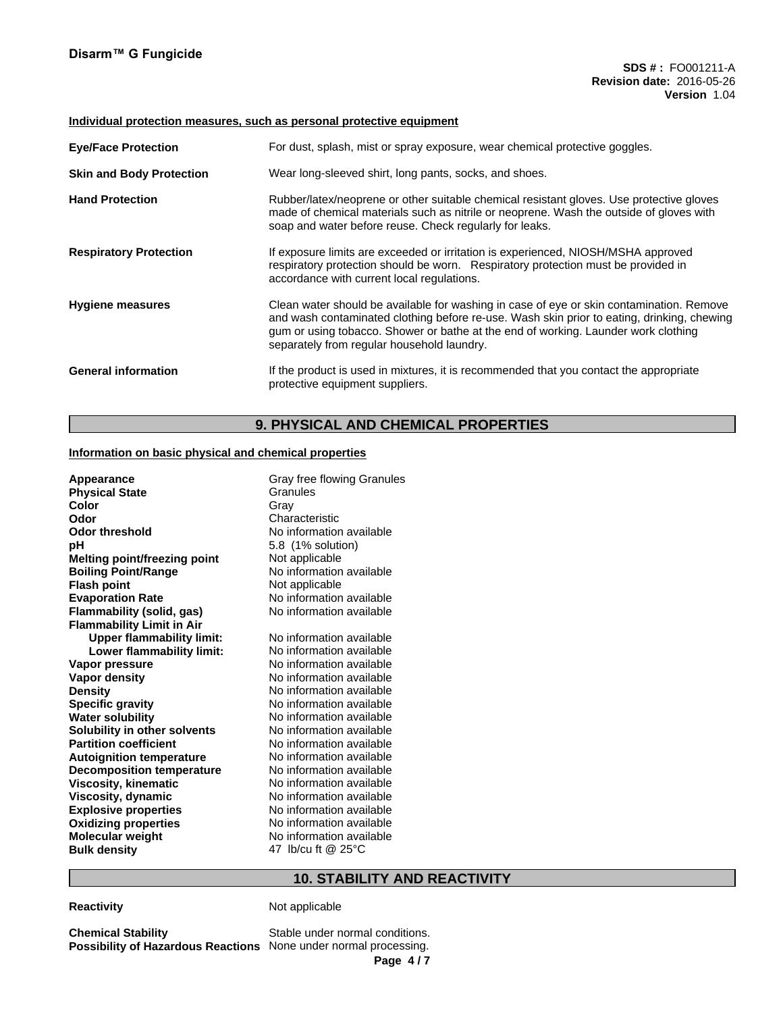#### **Individual protection measures, such as personal protective equipment**

| <b>Eye/Face Protection</b>      | For dust, splash, mist or spray exposure, wear chemical protective goggles.                                                                                                                                                                                                                                                |
|---------------------------------|----------------------------------------------------------------------------------------------------------------------------------------------------------------------------------------------------------------------------------------------------------------------------------------------------------------------------|
| <b>Skin and Body Protection</b> | Wear long-sleeved shirt, long pants, socks, and shoes.                                                                                                                                                                                                                                                                     |
| <b>Hand Protection</b>          | Rubber/latex/neoprene or other suitable chemical resistant gloves. Use protective gloves<br>made of chemical materials such as nitrile or neoprene. Wash the outside of gloves with<br>soap and water before reuse. Check regularly for leaks.                                                                             |
| <b>Respiratory Protection</b>   | If exposure limits are exceeded or irritation is experienced, NIOSH/MSHA approved<br>respiratory protection should be worn. Respiratory protection must be provided in<br>accordance with current local regulations.                                                                                                       |
| <b>Hygiene measures</b>         | Clean water should be available for washing in case of eye or skin contamination. Remove<br>and wash contaminated clothing before re-use. Wash skin prior to eating, drinking, chewing<br>gum or using tobacco. Shower or bathe at the end of working. Launder work clothing<br>separately from regular household laundry. |
| <b>General information</b>      | If the product is used in mixtures, it is recommended that you contact the appropriate<br>protective equipment suppliers.                                                                                                                                                                                                  |

# **9. PHYSICAL AND CHEMICAL PROPERTIES**

## **Information on basic physical and chemical properties**

| Appearance                                     | Gray free flowing Granules |
|------------------------------------------------|----------------------------|
| <b>Physical State</b>                          | Granules                   |
| Color                                          | Grav                       |
| Odor                                           | Characteristic             |
| <b>Odor threshold</b>                          | No information available   |
| рH                                             | 5.8 (1% solution)          |
| Melting point/freezing point                   | Not applicable             |
| <b>Boiling Point/Range</b>                     | No information available   |
| <b>Flash point</b>                             | Not applicable             |
| <b>Evaporation Rate</b>                        | No information available   |
| <b>Flammability (solid, gas)</b>               | No information available   |
| <b>Flammability Limit in Air</b>               | No information available   |
| <b>Upper flammability limit:</b>               | No information available   |
| Lower flammability limit:                      | No information available   |
| Vapor pressure                                 | No information available   |
| Vapor density                                  | No information available   |
| <b>Density</b>                                 | No information available   |
| <b>Specific gravity</b>                        | No information available   |
| <b>Water solubility</b>                        | No information available   |
| Solubility in other solvents                   | No information available   |
| <b>Partition coefficient</b>                   | No information available   |
| <b>Autoignition temperature</b>                | No information available   |
| <b>Decomposition temperature</b>               | No information available   |
| <b>Viscosity, kinematic</b>                    | No information available   |
| Viscosity, dynamic                             | No information available   |
| <b>Explosive properties</b>                    | No information available   |
| <b>Oxidizing properties</b>                    | No information available   |
| <b>Molecular weight</b><br><b>Bulk density</b> | 47 lb/cu ft @ 25°C         |

# **10. STABILITY AND REACTIVITY**

## **Reactivity Not applicable**

**Chemical Stability** Stable under normal conditions. **Possibility of Hazardous Reactions** None under normal processing.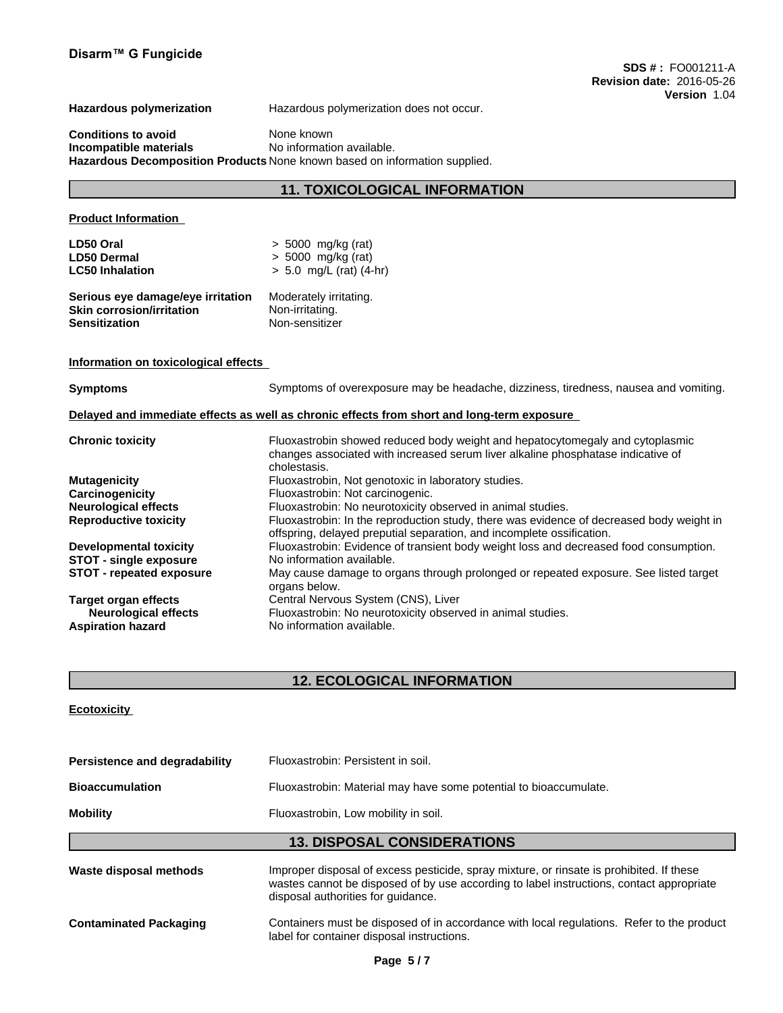**Hazardous polymerization** Hazardous polymerization does not occur.

**Conditions to avoid** None known **Incompatible materials** No information available. **Hazardous Decomposition Products** None known based on information supplied.

## **11. TOXICOLOGICAL INFORMATION**

# **Product Information LD50 Oral** > 5000 mg/kg (rat) **LD50 Dermal** > 5000 mg/kg (rat) **LC50 Inhalation** > 5.0 mg/L (rat) (4-hr) **Serious eye damage/eye irritation** Moderately irritating. **Skin corrosion/irritation Sensitization** Non-sensitizer **Information on toxicological effects Symptoms** Symptoms of overexposure may be headache, dizziness, tiredness, nausea and vomiting. **Delayed and immediate effects as well as chronic effects from short and long-term exposure Chronic toxicity** Fluoxastrobin showed reduced body weight and hepatocytomegaly and cytoplasmic changes associated with increased serum liver alkaline phosphatase indicative of cholestasis. **Mutagenicity** Fluoxastrobin, Not genotoxic in laboratory studies. **Carcinogenicity**<br> **Neurological effects**<br>
Fluoxastrobin: No neurotoxicity c **Neurological effects**<br> **Reproductive toxicity**<br> **Fluoxastrobin:** In the reproduction study, there was evidence **Reproductive toxicity** Fluoxastrobin: In the reproduction study, there was evidence of decreased body weight in offspring, delayed preputial separation, and incomplete ossification. **Developmental toxicity** Fluoxastrobin: Evidence of transient body weight loss and decreased food consumption. **STOT** - single exposure No information available. **STOT - repeated exposure** May cause damage to organs through prolonged or repeated exposure. See listed target organs below. **Target organ effects** Central Nervous System (CNS), Liver<br>**Neurological effects** Fluoxastrobin: No neurotoxicity observ **Neurological effects** Fluoxastrobin: No neurotoxicity observed in animal studies.<br>**Aspiration hazard** No information available. **Aspiration hazard** No information available.

## **12. ECOLOGICAL INFORMATION**

## **Ecotoxicity**

| Persistence and degradability | Fluoxastrobin: Persistent in soil.                                                                                                                                                                                         |
|-------------------------------|----------------------------------------------------------------------------------------------------------------------------------------------------------------------------------------------------------------------------|
| <b>Bioaccumulation</b>        | Fluoxastrobin: Material may have some potential to bioaccumulate.                                                                                                                                                          |
| <b>Mobility</b>               | Fluoxastrobin, Low mobility in soil.                                                                                                                                                                                       |
|                               | <b>13. DISPOSAL CONSIDERATIONS</b>                                                                                                                                                                                         |
| Waste disposal methods        | Improper disposal of excess pesticide, spray mixture, or rinsate is prohibited. If these<br>wastes cannot be disposed of by use according to label instructions, contact appropriate<br>disposal authorities for quidance. |
|                               |                                                                                                                                                                                                                            |

**Contaminated Packaging** Containers must be disposed of in accordance with local regulations. Refer to the product label for container disposal instructions.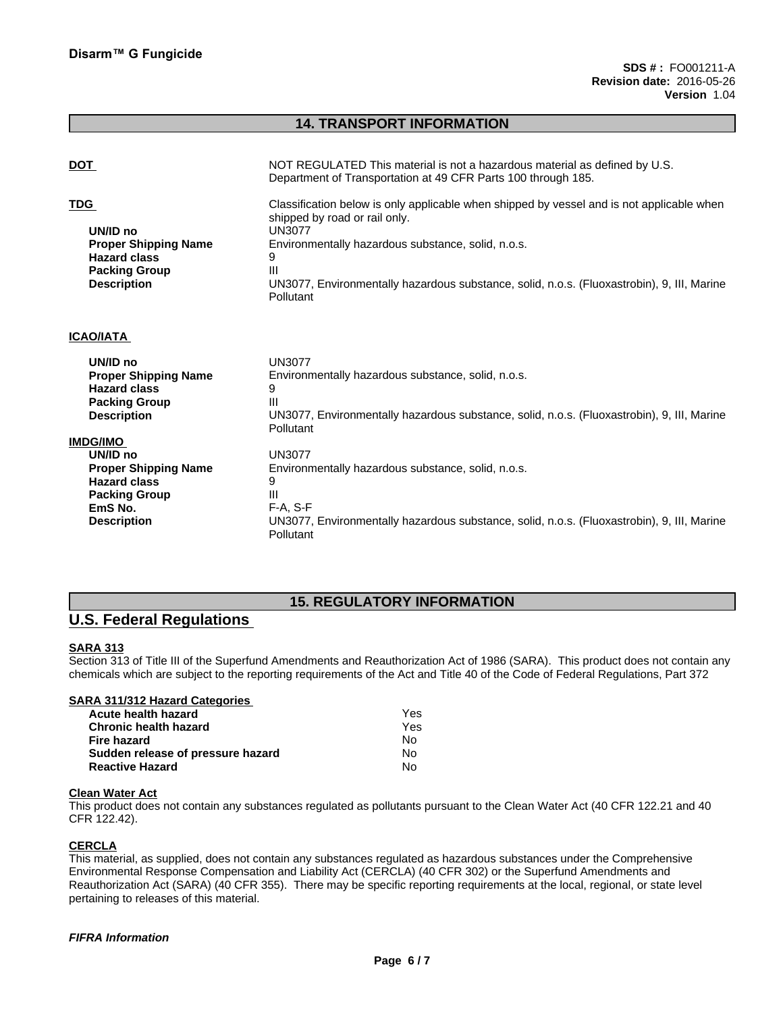## **14. TRANSPORT INFORMATION**

| <b>DOT</b>                                                                                                                                 | NOT REGULATED This material is not a hazardous material as defined by U.S.<br>Department of Transportation at 49 CFR Parts 100 through 185.                                                                                                                                                                            |
|--------------------------------------------------------------------------------------------------------------------------------------------|------------------------------------------------------------------------------------------------------------------------------------------------------------------------------------------------------------------------------------------------------------------------------------------------------------------------|
| <b>TDG</b><br>UN/ID no<br><b>Proper Shipping Name</b><br><b>Hazard class</b><br><b>Packing Group</b><br><b>Description</b>                 | Classification below is only applicable when shipped by vessel and is not applicable when<br>shipped by road or rail only.<br><b>UN3077</b><br>Environmentally hazardous substance, solid, n.o.s.<br>9<br>Ш<br>UN3077, Environmentally hazardous substance, solid, n.o.s. (Fluoxastrobin), 9, III, Marine<br>Pollutant |
| <b>ICAO/IATA</b>                                                                                                                           |                                                                                                                                                                                                                                                                                                                        |
| UN/ID no<br><b>Proper Shipping Name</b><br><b>Hazard class</b><br><b>Packing Group</b><br><b>Description</b>                               | <b>UN3077</b><br>Environmentally hazardous substance, solid, n.o.s.<br>Ш<br>UN3077, Environmentally hazardous substance, solid, n.o.s. (Fluoxastrobin), 9, III, Marine<br>Pollutant                                                                                                                                    |
| <b>IMDG/IMO</b><br>UN/ID no<br><b>Proper Shipping Name</b><br><b>Hazard class</b><br><b>Packing Group</b><br>EmS No.<br><b>Description</b> | <b>UN3077</b><br>Environmentally hazardous substance, solid, n.o.s.<br>Ш<br>$F-A, S-F$<br>UN3077, Environmentally hazardous substance, solid, n.o.s. (Fluoxastrobin), 9, III, Marine<br>Pollutant                                                                                                                      |

## **15. REGULATORY INFORMATION**

# **U.S. Federal Regulations**

## **SARA 313**

Section 313 of Title III of the Superfund Amendments and Reauthorization Act of 1986 (SARA). This product does not contain any chemicals which are subject to the reporting requirements of the Act and Title 40 of the Code of Federal Regulations, Part 372

## **SARA 311/312 Hazard Categories**

| Acute health hazard               | Yes |
|-----------------------------------|-----|
| <b>Chronic health hazard</b>      | Yes |
| Fire hazard                       | No. |
| Sudden release of pressure hazard | N٥  |
| <b>Reactive Hazard</b>            | No  |

#### **Clean Water Act**

This product does not contain any substances regulated as pollutants pursuant to the Clean Water Act (40 CFR 122.21 and 40 CFR 122.42).

## **CERCLA**

This material, as supplied, does not contain any substances regulated as hazardous substances under the Comprehensive Environmental Response Compensation and Liability Act (CERCLA) (40 CFR 302) or the Superfund Amendments and Reauthorization Act (SARA) (40 CFR 355). There may be specific reporting requirements at the local, regional, or state level pertaining to releases of this material.